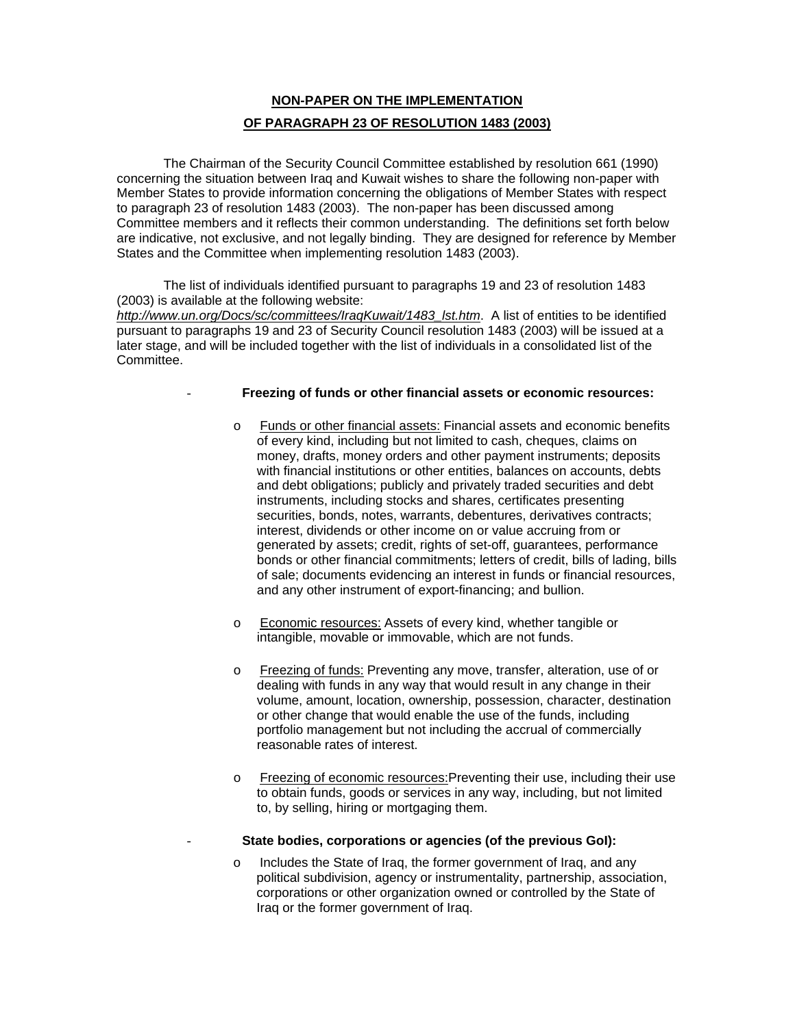# **NON-PAPER ON THE IMPLEMENTATION OF PARAGRAPH 23 OF RESOLUTION 1483 (2003)**

The Chairman of the Security Council Committee established by resolution 661 (1990) concerning the situation between Iraq and Kuwait wishes to share the following non-paper with Member States to provide information concerning the obligations of Member States with respect to paragraph 23 of resolution 1483 (2003). The non-paper has been discussed among Committee members and it reflects their common understanding. The definitions set forth below are indicative, not exclusive, and not legally binding. They are designed for reference by Member States and the Committee when implementing resolution 1483 (2003).

The list of individuals identified pursuant to paragraphs 19 and 23 of resolution 1483 (2003) is available at the following website:

*http://www.un.org/Docs/sc/committees/IraqKuwait/1483\_lst.htm*. A list of entities to be identified pursuant to paragraphs 19 and 23 of Security Council resolution 1483 (2003) will be issued at a later stage, and will be included together with the list of individuals in a consolidated list of the Committee.

### - **Freezing of funds or other financial assets or economic resources:**

- o Funds or other financial assets: Financial assets and economic benefits of every kind, including but not limited to cash, cheques, claims on money, drafts, money orders and other payment instruments; deposits with financial institutions or other entities, balances on accounts, debts and debt obligations; publicly and privately traded securities and debt instruments, including stocks and shares, certificates presenting securities, bonds, notes, warrants, debentures, derivatives contracts; interest, dividends or other income on or value accruing from or generated by assets; credit, rights of set-off, guarantees, performance bonds or other financial commitments; letters of credit, bills of lading, bills of sale; documents evidencing an interest in funds or financial resources, and any other instrument of export-financing; and bullion.
- o Economic resources: Assets of every kind, whether tangible or intangible, movable or immovable, which are not funds.
- o Freezing of funds: Preventing any move, transfer, alteration, use of or dealing with funds in any way that would result in any change in their volume, amount, location, ownership, possession, character, destination or other change that would enable the use of the funds, including portfolio management but not including the accrual of commercially reasonable rates of interest.
- o Freezing of economic resources:Preventing their use, including their use to obtain funds, goods or services in any way, including, but not limited to, by selling, hiring or mortgaging them.
- **State bodies, corporations or agencies (of the previous GoI):**
- o Includes the State of Iraq, the former government of Iraq, and any political subdivision, agency or instrumentality, partnership, association, corporations or other organization owned or controlled by the State of Iraq or the former government of Iraq.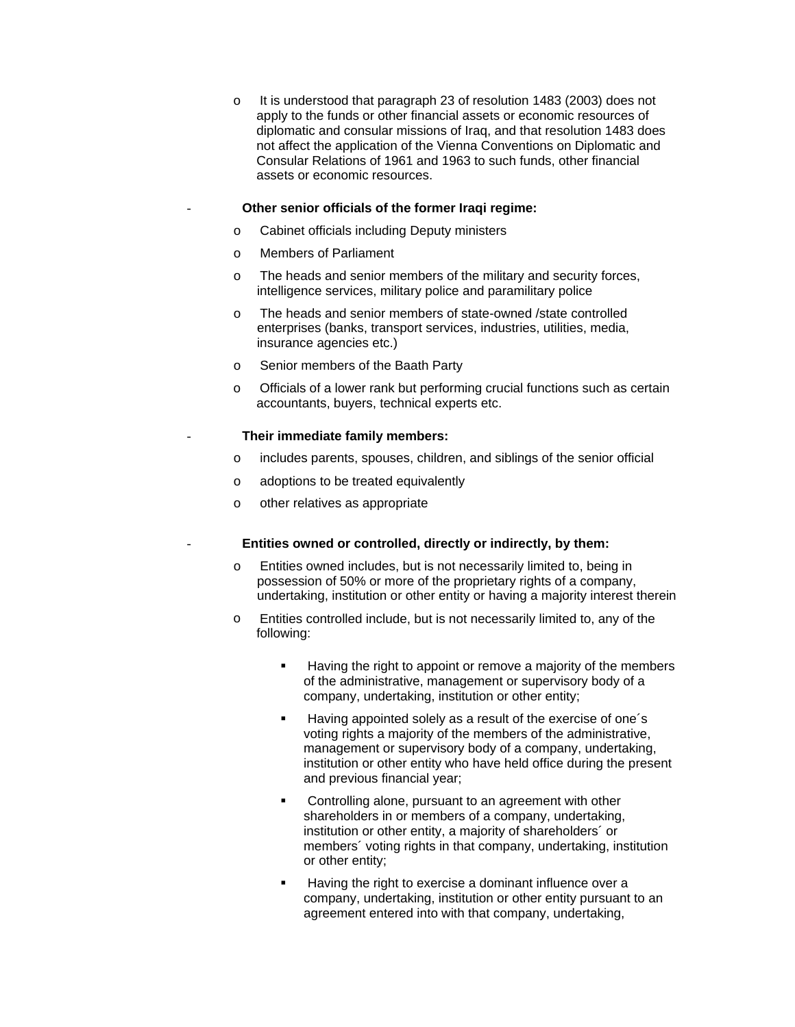o It is understood that paragraph 23 of resolution 1483 (2003) does not apply to the funds or other financial assets or economic resources of diplomatic and consular missions of Iraq, and that resolution 1483 does not affect the application of the Vienna Conventions on Diplomatic and Consular Relations of 1961 and 1963 to such funds, other financial assets or economic resources.

### - **Other senior officials of the former Iraqi regime:**

- o Cabinet officials including Deputy ministers
- o Members of Parliament
- o The heads and senior members of the military and security forces, intelligence services, military police and paramilitary police
- o The heads and senior members of state-owned /state controlled enterprises (banks, transport services, industries, utilities, media, insurance agencies etc.)
- o Senior members of the Baath Party
- o Officials of a lower rank but performing crucial functions such as certain accountants, buyers, technical experts etc.

#### - **Their immediate family members:**

- o includes parents, spouses, children, and siblings of the senior official
- o adoptions to be treated equivalently
- o other relatives as appropriate

## - **Entities owned or controlled, directly or indirectly, by them:**

- o Entities owned includes, but is not necessarily limited to, being in possession of 50% or more of the proprietary rights of a company, undertaking, institution or other entity or having a majority interest therein
- o Entities controlled include, but is not necessarily limited to, any of the following:
	- **Having the right to appoint or remove a majority of the members** of the administrative, management or supervisory body of a company, undertaking, institution or other entity;
	- Having appointed solely as a result of the exercise of one's voting rights a majority of the members of the administrative, management or supervisory body of a company, undertaking, institution or other entity who have held office during the present and previous financial year;
	- **Controlling alone, pursuant to an agreement with other** shareholders in or members of a company, undertaking, institution or other entity, a majority of shareholders´ or members´ voting rights in that company, undertaking, institution or other entity;
	- Having the right to exercise a dominant influence over a company, undertaking, institution or other entity pursuant to an agreement entered into with that company, undertaking,